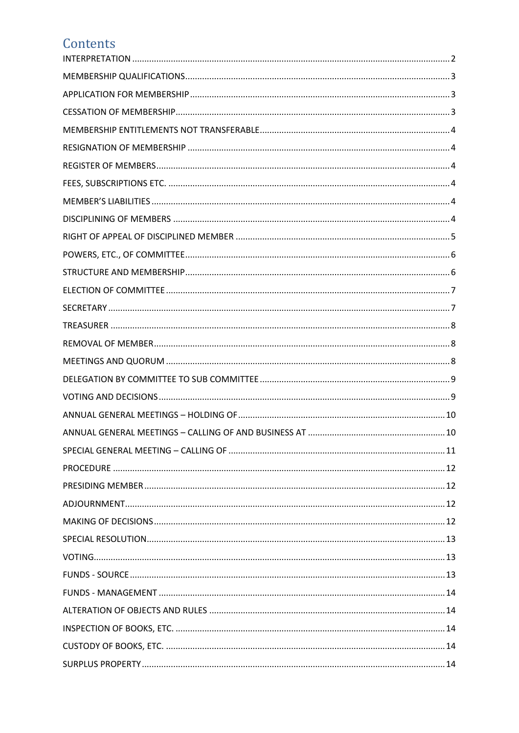# Contents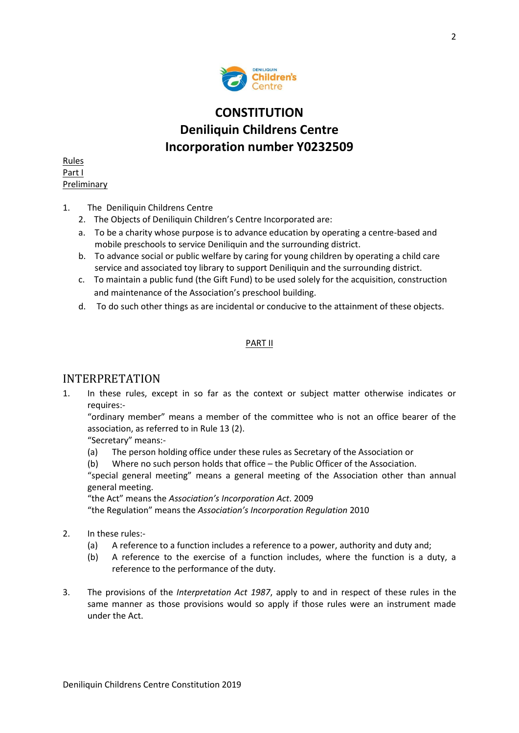

## **CONSTITUTION Deniliquin Childrens Centre Incorporation number Y0232509**

Rules Part I **Preliminary** 

- 1. The Deniliquin Childrens Centre
	- 2. The Objects of Deniliquin Children's Centre Incorporated are:
	- a. To be a charity whose purpose is to advance education by operating a centre-based and mobile preschools to service Deniliquin and the surrounding district.
	- b. To advance social or public welfare by caring for young children by operating a child care service and associated toy library to support Deniliquin and the surrounding district.
	- c. To maintain a public fund (the Gift Fund) to be used solely for the acquisition, construction and maintenance of the Association's preschool building.
	- d. To do such other things as are incidental or conducive to the attainment of these objects.

#### PART II

## <span id="page-1-0"></span>INTERPRETATION

1. In these rules, except in so far as the context or subject matter otherwise indicates or requires:-

"ordinary member" means a member of the committee who is not an office bearer of the association, as referred to in Rule 13 (2).

"Secretary" means:-

- (a) The person holding office under these rules as Secretary of the Association or
- (b) Where no such person holds that office the Public Officer of the Association.

"special general meeting" means a general meeting of the Association other than annual general meeting.

"the Act" means the *Association's Incorporation Act*. 2009

"the Regulation" means the *Association's Incorporation Regulation* 2010

- 2. In these rules:-
	- (a) A reference to a function includes a reference to a power, authority and duty and;
	- (b) A reference to the exercise of a function includes, where the function is a duty, a reference to the performance of the duty.
- 3. The provisions of the *Interpretation Act 1987*, apply to and in respect of these rules in the same manner as those provisions would so apply if those rules were an instrument made under the Act.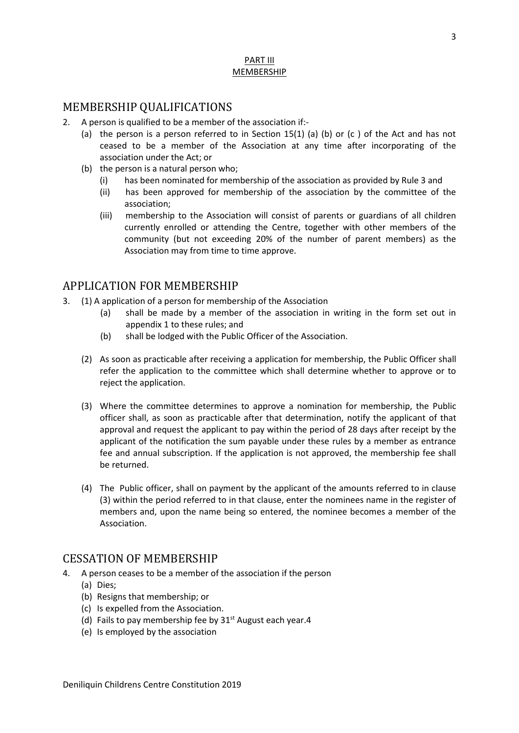#### PART III MEMBERSHIP

#### <span id="page-2-0"></span>MEMBERSHIP QUALIFICATIONS

- 2. A person is qualified to be a member of the association if:-
	- (a) the person is a person referred to in Section 15(1) (a) (b) or (c ) of the Act and has not ceased to be a member of the Association at any time after incorporating of the association under the Act; or
	- (b) the person is a natural person who;
		- (i) has been nominated for membership of the association as provided by Rule 3 and
		- (ii) has been approved for membership of the association by the committee of the association;
		- (iii) membership to the Association will consist of parents or guardians of all children currently enrolled or attending the Centre, together with other members of the community (but not exceeding 20% of the number of parent members) as the Association may from time to time approve.

#### <span id="page-2-1"></span>APPLICATION FOR MEMBERSHIP

- 3. (1) A application of a person for membership of the Association
	- (a) shall be made by a member of the association in writing in the form set out in appendix 1 to these rules; and
	- (b) shall be lodged with the Public Officer of the Association.
	- (2) As soon as practicable after receiving a application for membership, the Public Officer shall refer the application to the committee which shall determine whether to approve or to reject the application.
	- (3) Where the committee determines to approve a nomination for membership, the Public officer shall, as soon as practicable after that determination, notify the applicant of that approval and request the applicant to pay within the period of 28 days after receipt by the applicant of the notification the sum payable under these rules by a member as entrance fee and annual subscription. If the application is not approved, the membership fee shall be returned.
	- (4) The Public officer, shall on payment by the applicant of the amounts referred to in clause (3) within the period referred to in that clause, enter the nominees name in the register of members and, upon the name being so entered, the nominee becomes a member of the Association.

#### <span id="page-2-2"></span>CESSATION OF MEMBERSHIP

- 4. A person ceases to be a member of the association if the person
	- (a) Dies;
	- (b) Resigns that membership; or
	- (c) Is expelled from the Association.
	- (d) Fails to pay membership fee by  $31<sup>st</sup>$  August each year.4
	- (e) Is employed by the association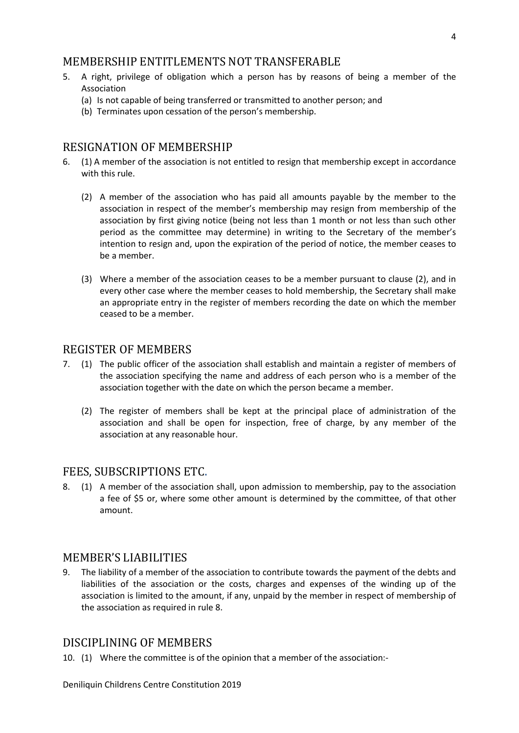#### <span id="page-3-0"></span>MEMBERSHIP ENTITLEMENTS NOT TRANSFERABLE

- 5. A right, privilege of obligation which a person has by reasons of being a member of the Association
	- (a) Is not capable of being transferred or transmitted to another person; and
	- (b) Terminates upon cessation of the person's membership.

#### <span id="page-3-1"></span>RESIGNATION OF MEMBERSHIP

- 6. (1) A member of the association is not entitled to resign that membership except in accordance with this rule.
	- (2) A member of the association who has paid all amounts payable by the member to the association in respect of the member's membership may resign from membership of the association by first giving notice (being not less than 1 month or not less than such other period as the committee may determine) in writing to the Secretary of the member's intention to resign and, upon the expiration of the period of notice, the member ceases to be a member.
	- (3) Where a member of the association ceases to be a member pursuant to clause (2), and in every other case where the member ceases to hold membership, the Secretary shall make an appropriate entry in the register of members recording the date on which the member ceased to be a member.

#### <span id="page-3-2"></span>REGISTER OF MEMBERS

- 7. (1) The public officer of the association shall establish and maintain a register of members of the association specifying the name and address of each person who is a member of the association together with the date on which the person became a member.
	- (2) The register of members shall be kept at the principal place of administration of the association and shall be open for inspection, free of charge, by any member of the association at any reasonable hour.

#### <span id="page-3-3"></span>FEES, SUBSCRIPTIONS ETC.

8. (1) A member of the association shall, upon admission to membership, pay to the association a fee of \$5 or, where some other amount is determined by the committee, of that other amount.

#### <span id="page-3-4"></span>MEMBER'S LIABILITIES

9. The liability of a member of the association to contribute towards the payment of the debts and liabilities of the association or the costs, charges and expenses of the winding up of the association is limited to the amount, if any, unpaid by the member in respect of membership of the association as required in rule 8.

#### <span id="page-3-5"></span>DISCIPLINING OF MEMBERS

10. (1) Where the committee is of the opinion that a member of the association:-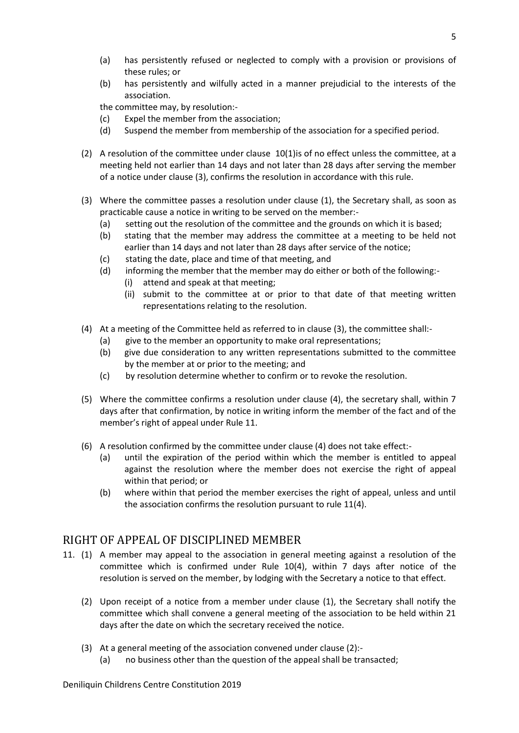- (a) has persistently refused or neglected to comply with a provision or provisions of these rules; or
- (b) has persistently and wilfully acted in a manner prejudicial to the interests of the association.

the committee may, by resolution:-

- (c) Expel the member from the association;
- (d) Suspend the member from membership of the association for a specified period.
- (2) A resolution of the committee under clause 10(1)is of no effect unless the committee, at a meeting held not earlier than 14 days and not later than 28 days after serving the member of a notice under clause (3), confirms the resolution in accordance with this rule.
- (3) Where the committee passes a resolution under clause (1), the Secretary shall, as soon as practicable cause a notice in writing to be served on the member:-
	- (a) setting out the resolution of the committee and the grounds on which it is based;
	- (b) stating that the member may address the committee at a meeting to be held not earlier than 14 days and not later than 28 days after service of the notice;
	- (c) stating the date, place and time of that meeting, and
	- (d) informing the member that the member may do either or both of the following:-
		- (i) attend and speak at that meeting;
		- (ii) submit to the committee at or prior to that date of that meeting written representations relating to the resolution.
- (4) At a meeting of the Committee held as referred to in clause (3), the committee shall:-
	- (a) give to the member an opportunity to make oral representations;
	- (b) give due consideration to any written representations submitted to the committee by the member at or prior to the meeting; and
	- (c) by resolution determine whether to confirm or to revoke the resolution.
- (5) Where the committee confirms a resolution under clause (4), the secretary shall, within 7 days after that confirmation, by notice in writing inform the member of the fact and of the member's right of appeal under Rule 11.
- (6) A resolution confirmed by the committee under clause (4) does not take effect:-
	- (a) until the expiration of the period within which the member is entitled to appeal against the resolution where the member does not exercise the right of appeal within that period; or
	- (b) where within that period the member exercises the right of appeal, unless and until the association confirms the resolution pursuant to rule 11(4).

## <span id="page-4-0"></span>RIGHT OF APPEAL OF DISCIPLINED MEMBER

- 11. (1) A member may appeal to the association in general meeting against a resolution of the committee which is confirmed under Rule 10(4), within 7 days after notice of the resolution is served on the member, by lodging with the Secretary a notice to that effect.
	- (2) Upon receipt of a notice from a member under clause (1), the Secretary shall notify the committee which shall convene a general meeting of the association to be held within 21 days after the date on which the secretary received the notice.
	- (3) At a general meeting of the association convened under clause (2):-
		- (a) no business other than the question of the appeal shall be transacted;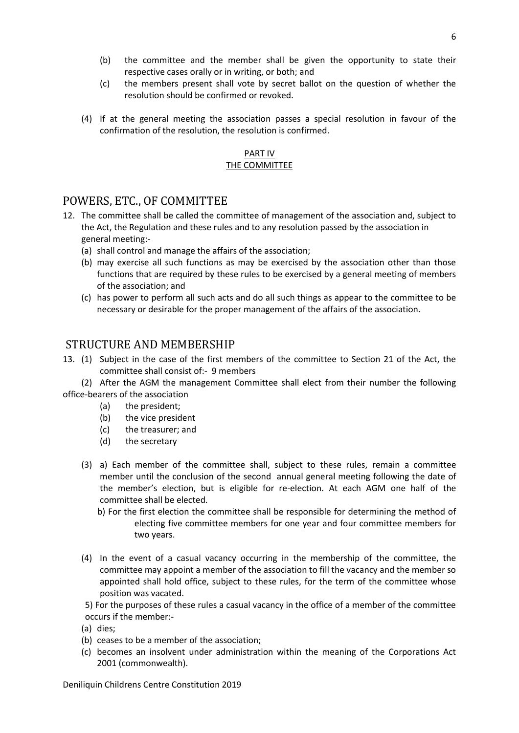- (b) the committee and the member shall be given the opportunity to state their respective cases orally or in writing, or both; and
- (c) the members present shall vote by secret ballot on the question of whether the resolution should be confirmed or revoked.
- (4) If at the general meeting the association passes a special resolution in favour of the confirmation of the resolution, the resolution is confirmed.

#### PART IV THE COMMITTEE

#### <span id="page-5-0"></span>POWERS, ETC., OF COMMITTEE

- 12. The committee shall be called the committee of management of the association and, subject to the Act, the Regulation and these rules and to any resolution passed by the association in general meeting:-
	- (a) shall control and manage the affairs of the association;
	- (b) may exercise all such functions as may be exercised by the association other than those functions that are required by these rules to be exercised by a general meeting of members of the association; and
	- (c) has power to perform all such acts and do all such things as appear to the committee to be necessary or desirable for the proper management of the affairs of the association.

#### <span id="page-5-1"></span>STRUCTURE AND MEMBERSHIP

13. (1) Subject in the case of the first members of the committee to Section 21 of the Act, the committee shall consist of:- 9 members

(2) After the AGM the management Committee shall elect from their number the following office-bearers of the association

- (a) the president;
- (b) the vice president
- (c) the treasurer; and
- (d) the secretary
- (3) a) Each member of the committee shall, subject to these rules, remain a committee member until the conclusion of the second annual general meeting following the date of the member's election, but is eligible for re-election. At each AGM one half of the committee shall be elected.
	- b) For the first election the committee shall be responsible for determining the method of electing five committee members for one year and four committee members for two years.
- (4) In the event of a casual vacancy occurring in the membership of the committee, the committee may appoint a member of the association to fill the vacancy and the member so appointed shall hold office, subject to these rules, for the term of the committee whose position was vacated.
- 5) For the purposes of these rules a casual vacancy in the office of a member of the committee occurs if the member:-
- (a) dies;
- (b) ceases to be a member of the association;
- (c) becomes an insolvent under administration within the meaning of the Corporations Act 2001 (commonwealth).

Deniliquin Childrens Centre Constitution 2019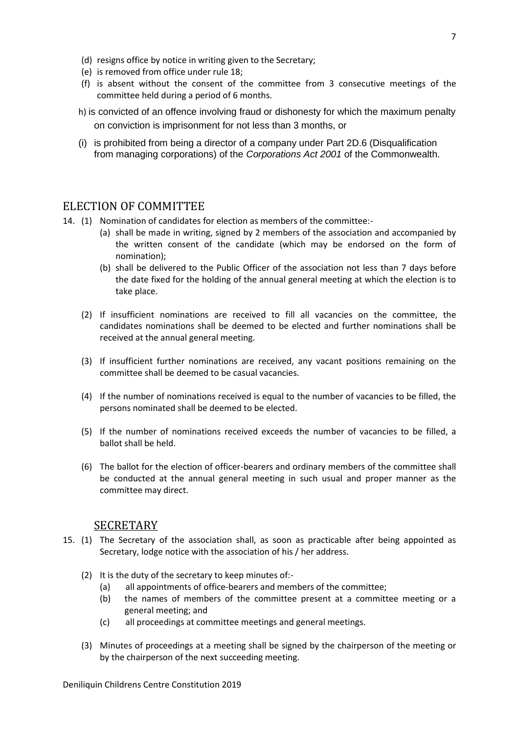- (d) resigns office by notice in writing given to the Secretary;
- (e) is removed from office under rule 18;
- (f) is absent without the consent of the committee from 3 consecutive meetings of the committee held during a period of 6 months.
- h) is convicted of an offence involving fraud or dishonesty for which the maximum penalty on conviction is imprisonment for not less than 3 months, or
- (i) is prohibited from being a director of a company under Part 2D.6 (Disqualification from managing corporations) of the *[Corporations Act 2001](http://www.comlaw.gov.au/)* of the Commonwealth.

#### <span id="page-6-0"></span>ELECTION OF COMMITTEE

- 14. (1) Nomination of candidates for election as members of the committee:-
	- (a) shall be made in writing, signed by 2 members of the association and accompanied by the written consent of the candidate (which may be endorsed on the form of nomination);
	- (b) shall be delivered to the Public Officer of the association not less than 7 days before the date fixed for the holding of the annual general meeting at which the election is to take place.
	- (2) If insufficient nominations are received to fill all vacancies on the committee, the candidates nominations shall be deemed to be elected and further nominations shall be received at the annual general meeting.
	- (3) If insufficient further nominations are received, any vacant positions remaining on the committee shall be deemed to be casual vacancies.
	- (4) If the number of nominations received is equal to the number of vacancies to be filled, the persons nominated shall be deemed to be elected.
	- (5) If the number of nominations received exceeds the number of vacancies to be filled, a ballot shall be held.
	- (6) The ballot for the election of officer-bearers and ordinary members of the committee shall be conducted at the annual general meeting in such usual and proper manner as the committee may direct.

#### <span id="page-6-1"></span>**SECRETARY**

- 15. (1) The Secretary of the association shall, as soon as practicable after being appointed as Secretary, lodge notice with the association of his / her address.
	- (2) It is the duty of the secretary to keep minutes of:-
		- (a) all appointments of office-bearers and members of the committee;
		- (b) the names of members of the committee present at a committee meeting or a general meeting; and
		- (c) all proceedings at committee meetings and general meetings.
	- (3) Minutes of proceedings at a meeting shall be signed by the chairperson of the meeting or by the chairperson of the next succeeding meeting.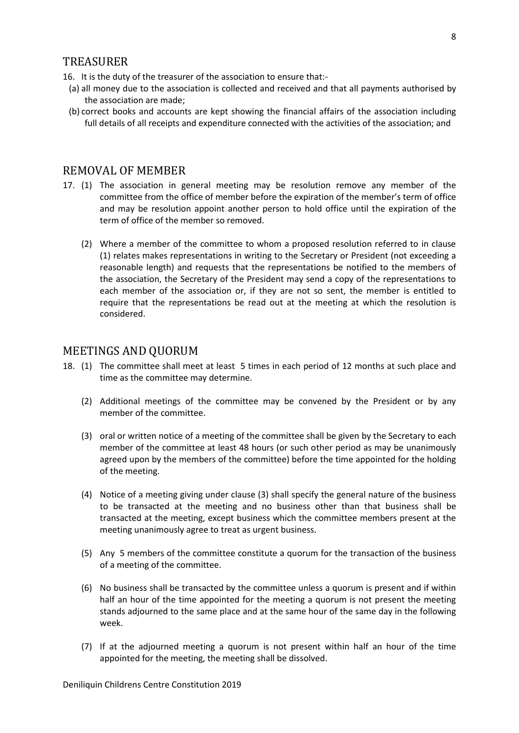#### <span id="page-7-0"></span>TREASURER

16. It is the duty of the treasurer of the association to ensure that:-

- (a) all money due to the association is collected and received and that all payments authorised by the association are made;
- (b) correct books and accounts are kept showing the financial affairs of the association including full details of all receipts and expenditure connected with the activities of the association; and

#### <span id="page-7-1"></span>REMOVAL OF MEMBER

- 17. (1) The association in general meeting may be resolution remove any member of the committee from the office of member before the expiration of the member's term of office and may be resolution appoint another person to hold office until the expiration of the term of office of the member so removed.
	- (2) Where a member of the committee to whom a proposed resolution referred to in clause (1) relates makes representations in writing to the Secretary or President (not exceeding a reasonable length) and requests that the representations be notified to the members of the association, the Secretary of the President may send a copy of the representations to each member of the association or, if they are not so sent, the member is entitled to require that the representations be read out at the meeting at which the resolution is considered.

#### <span id="page-7-2"></span>MEETINGS AND QUORUM

- 18. (1) The committee shall meet at least 5 times in each period of 12 months at such place and time as the committee may determine.
	- (2) Additional meetings of the committee may be convened by the President or by any member of the committee.
	- (3) oral or written notice of a meeting of the committee shall be given by the Secretary to each member of the committee at least 48 hours (or such other period as may be unanimously agreed upon by the members of the committee) before the time appointed for the holding of the meeting.
	- (4) Notice of a meeting giving under clause (3) shall specify the general nature of the business to be transacted at the meeting and no business other than that business shall be transacted at the meeting, except business which the committee members present at the meeting unanimously agree to treat as urgent business.
	- (5) Any 5 members of the committee constitute a quorum for the transaction of the business of a meeting of the committee.
	- (6) No business shall be transacted by the committee unless a quorum is present and if within half an hour of the time appointed for the meeting a quorum is not present the meeting stands adjourned to the same place and at the same hour of the same day in the following week.
	- (7) If at the adjourned meeting a quorum is not present within half an hour of the time appointed for the meeting, the meeting shall be dissolved.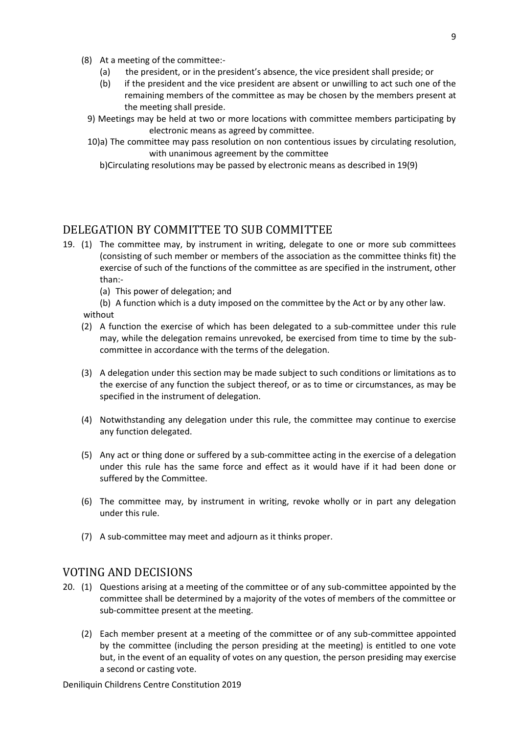- (8) At a meeting of the committee:-
	- (a) the president, or in the president's absence, the vice president shall preside; or
	- (b) if the president and the vice president are absent or unwilling to act such one of the remaining members of the committee as may be chosen by the members present at the meeting shall preside.
	- 9) Meetings may be held at two or more locations with committee members participating by electronic means as agreed by committee.
	- 10)a) The committee may pass resolution on non contentious issues by circulating resolution, with unanimous agreement by the committee
		- b)Circulating resolutions may be passed by electronic means as described in 19(9)

## <span id="page-8-0"></span>DELEGATION BY COMMITTEE TO SUB COMMITTEE

- 19. (1) The committee may, by instrument in writing, delegate to one or more sub committees (consisting of such member or members of the association as the committee thinks fit) the exercise of such of the functions of the committee as are specified in the instrument, other than:-
	- (a) This power of delegation; and

(b) A function which is a duty imposed on the committee by the Act or by any other law. without

- (2) A function the exercise of which has been delegated to a sub-committee under this rule may, while the delegation remains unrevoked, be exercised from time to time by the subcommittee in accordance with the terms of the delegation.
- (3) A delegation under this section may be made subject to such conditions or limitations as to the exercise of any function the subject thereof, or as to time or circumstances, as may be specified in the instrument of delegation.
- (4) Notwithstanding any delegation under this rule, the committee may continue to exercise any function delegated.
- (5) Any act or thing done or suffered by a sub-committee acting in the exercise of a delegation under this rule has the same force and effect as it would have if it had been done or suffered by the Committee.
- (6) The committee may, by instrument in writing, revoke wholly or in part any delegation under this rule.
- (7) A sub-committee may meet and adjourn as it thinks proper.

#### <span id="page-8-1"></span>VOTING AND DECISIONS

- 20. (1) Questions arising at a meeting of the committee or of any sub-committee appointed by the committee shall be determined by a majority of the votes of members of the committee or sub-committee present at the meeting.
	- (2) Each member present at a meeting of the committee or of any sub-committee appointed by the committee (including the person presiding at the meeting) is entitled to one vote but, in the event of an equality of votes on any question, the person presiding may exercise a second or casting vote.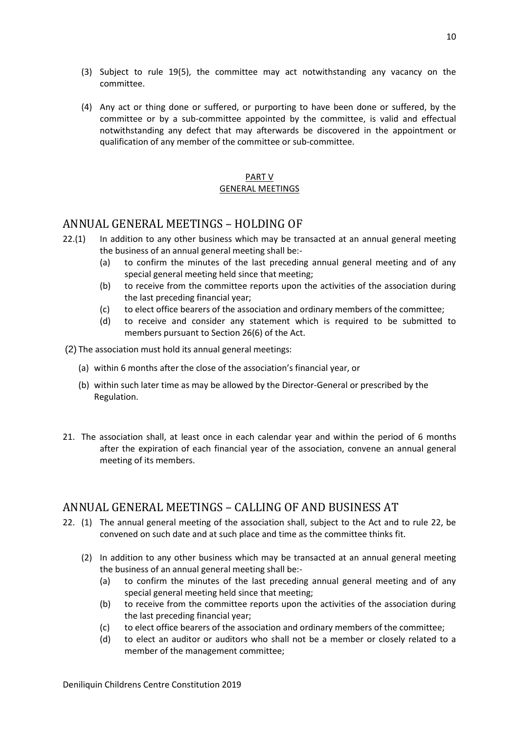- (3) Subject to rule 19(5), the committee may act notwithstanding any vacancy on the
- (4) Any act or thing done or suffered, or purporting to have been done or suffered, by the committee or by a sub-committee appointed by the committee, is valid and effectual notwithstanding any defect that may afterwards be discovered in the appointment or qualification of any member of the committee or sub-committee.

#### PART V GENERAL MEETINGS

## <span id="page-9-0"></span>ANNUAL GENERAL MEETINGS – HOLDING OF

committee.

- 22.(1) In addition to any other business which may be transacted at an annual general meeting the business of an annual general meeting shall be:-
	- (a) to confirm the minutes of the last preceding annual general meeting and of any special general meeting held since that meeting;
	- (b) to receive from the committee reports upon the activities of the association during the last preceding financial year;
	- (c) to elect office bearers of the association and ordinary members of the committee;
	- (d) to receive and consider any statement which is required to be submitted to members pursuant to Section 26(6) of the Act.
- (2) The association must hold its annual general meetings:
	- (a) within 6 months after the close of the association's financial year, or
	- (b) within such later time as may be allowed by the Director-General or prescribed by the Regulation.
- 21. The association shall, at least once in each calendar year and within the period of 6 months after the expiration of each financial year of the association, convene an annual general meeting of its members.

## <span id="page-9-1"></span>ANNUAL GENERAL MEETINGS – CALLING OF AND BUSINESS AT

- 22. (1) The annual general meeting of the association shall, subject to the Act and to rule 22, be convened on such date and at such place and time as the committee thinks fit.
	- (2) In addition to any other business which may be transacted at an annual general meeting the business of an annual general meeting shall be:-
		- (a) to confirm the minutes of the last preceding annual general meeting and of any special general meeting held since that meeting;
		- (b) to receive from the committee reports upon the activities of the association during the last preceding financial year;
		- (c) to elect office bearers of the association and ordinary members of the committee;
		- (d) to elect an auditor or auditors who shall not be a member or closely related to a member of the management committee;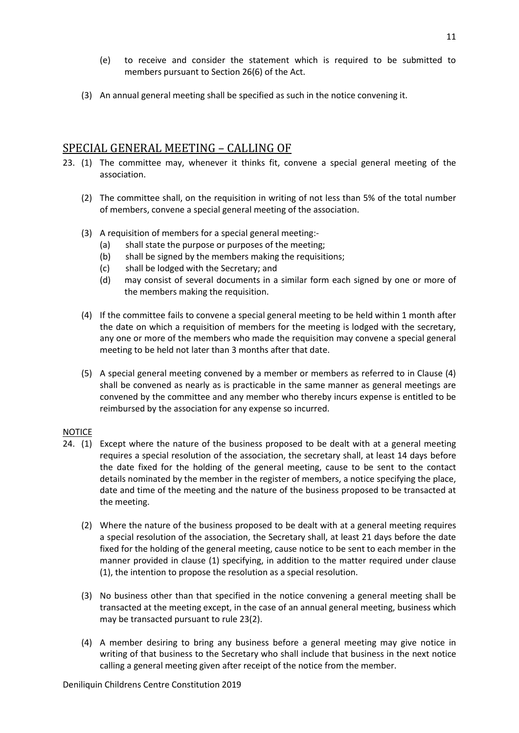- (e) to receive and consider the statement which is required to be submitted to members pursuant to Section 26(6) of the Act.
- (3) An annual general meeting shall be specified as such in the notice convening it.

#### <span id="page-10-0"></span>SPECIAL GENERAL MEETING – CALLING OF

- 23. (1) The committee may, whenever it thinks fit, convene a special general meeting of the association.
	- (2) The committee shall, on the requisition in writing of not less than 5% of the total number of members, convene a special general meeting of the association.
	- (3) A requisition of members for a special general meeting:-
		- (a) shall state the purpose or purposes of the meeting;
		- (b) shall be signed by the members making the requisitions;
		- (c) shall be lodged with the Secretary; and
		- (d) may consist of several documents in a similar form each signed by one or more of the members making the requisition.
	- (4) If the committee fails to convene a special general meeting to be held within 1 month after the date on which a requisition of members for the meeting is lodged with the secretary, any one or more of the members who made the requisition may convene a special general meeting to be held not later than 3 months after that date.
	- (5) A special general meeting convened by a member or members as referred to in Clause (4) shall be convened as nearly as is practicable in the same manner as general meetings are convened by the committee and any member who thereby incurs expense is entitled to be reimbursed by the association for any expense so incurred.

#### **NOTICE**

- 24. (1) Except where the nature of the business proposed to be dealt with at a general meeting requires a special resolution of the association, the secretary shall, at least 14 days before the date fixed for the holding of the general meeting, cause to be sent to the contact details nominated by the member in the register of members, a notice specifying the place, date and time of the meeting and the nature of the business proposed to be transacted at the meeting.
	- (2) Where the nature of the business proposed to be dealt with at a general meeting requires a special resolution of the association, the Secretary shall, at least 21 days before the date fixed for the holding of the general meeting, cause notice to be sent to each member in the manner provided in clause (1) specifying, in addition to the matter required under clause (1), the intention to propose the resolution as a special resolution.
	- (3) No business other than that specified in the notice convening a general meeting shall be transacted at the meeting except, in the case of an annual general meeting, business which may be transacted pursuant to rule 23(2).
	- (4) A member desiring to bring any business before a general meeting may give notice in writing of that business to the Secretary who shall include that business in the next notice calling a general meeting given after receipt of the notice from the member.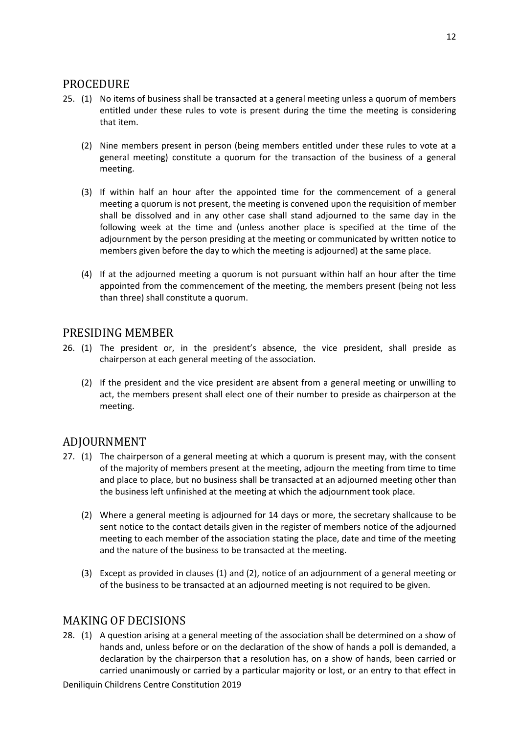#### <span id="page-11-0"></span>PROCEDURE

- 25. (1) No items of business shall be transacted at a general meeting unless a quorum of members entitled under these rules to vote is present during the time the meeting is considering that item.
	- (2) Nine members present in person (being members entitled under these rules to vote at a general meeting) constitute a quorum for the transaction of the business of a general meeting.
	- (3) If within half an hour after the appointed time for the commencement of a general meeting a quorum is not present, the meeting is convened upon the requisition of member shall be dissolved and in any other case shall stand adjourned to the same day in the following week at the time and (unless another place is specified at the time of the adjournment by the person presiding at the meeting or communicated by written notice to members given before the day to which the meeting is adjourned) at the same place.
	- (4) If at the adjourned meeting a quorum is not pursuant within half an hour after the time appointed from the commencement of the meeting, the members present (being not less than three) shall constitute a quorum.

#### <span id="page-11-1"></span>PRESIDING MEMBER

- 26. (1) The president or, in the president's absence, the vice president, shall preside as chairperson at each general meeting of the association.
	- (2) If the president and the vice president are absent from a general meeting or unwilling to act, the members present shall elect one of their number to preside as chairperson at the meeting.

## <span id="page-11-2"></span>ADJOURNMENT

- 27. (1) The chairperson of a general meeting at which a quorum is present may, with the consent of the majority of members present at the meeting, adjourn the meeting from time to time and place to place, but no business shall be transacted at an adjourned meeting other than the business left unfinished at the meeting at which the adjournment took place.
	- (2) Where a general meeting is adjourned for 14 days or more, the secretary shallcause to be sent notice to the contact details given in the register of members notice of the adjourned meeting to each member of the association stating the place, date and time of the meeting and the nature of the business to be transacted at the meeting.
	- (3) Except as provided in clauses (1) and (2), notice of an adjournment of a general meeting or of the business to be transacted at an adjourned meeting is not required to be given.

## <span id="page-11-3"></span>MAKING OF DECISIONS

28. (1) A question arising at a general meeting of the association shall be determined on a show of hands and, unless before or on the declaration of the show of hands a poll is demanded, a declaration by the chairperson that a resolution has, on a show of hands, been carried or carried unanimously or carried by a particular majority or lost, or an entry to that effect in

Deniliquin Childrens Centre Constitution 2019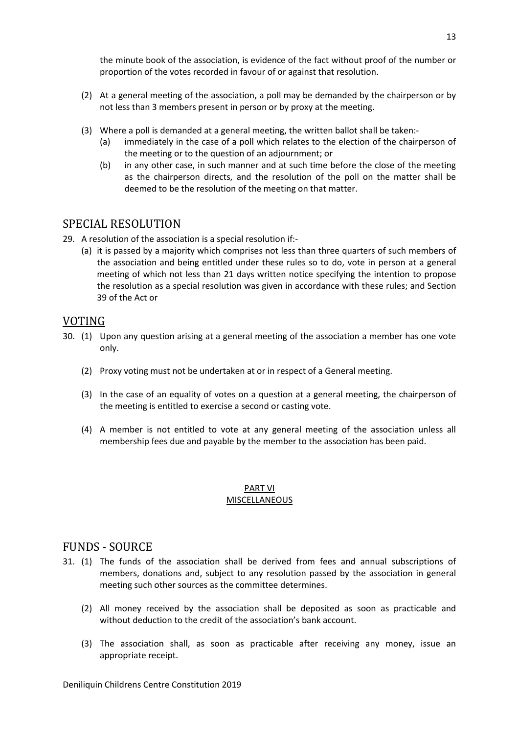the minute book of the association, is evidence of the fact without proof of the number or proportion of the votes recorded in favour of or against that resolution.

- (2) At a general meeting of the association, a poll may be demanded by the chairperson or by not less than 3 members present in person or by proxy at the meeting.
- (3) Where a poll is demanded at a general meeting, the written ballot shall be taken:-
	- (a) immediately in the case of a poll which relates to the election of the chairperson of the meeting or to the question of an adjournment; or
	- (b) in any other case, in such manner and at such time before the close of the meeting as the chairperson directs, and the resolution of the poll on the matter shall be deemed to be the resolution of the meeting on that matter.

#### <span id="page-12-0"></span>SPECIAL RESOLUTION

- 29. A resolution of the association is a special resolution if:-
	- (a) it is passed by a majority which comprises not less than three quarters of such members of the association and being entitled under these rules so to do, vote in person at a general meeting of which not less than 21 days written notice specifying the intention to propose the resolution as a special resolution was given in accordance with these rules; and Section 39 of the Act or

#### <span id="page-12-1"></span>VOTING

- 30. (1) Upon any question arising at a general meeting of the association a member has one vote only.
	- (2) Proxy voting must not be undertaken at or in respect of a General meeting.
	- (3) In the case of an equality of votes on a question at a general meeting, the chairperson of the meeting is entitled to exercise a second or casting vote.
	- (4) A member is not entitled to vote at any general meeting of the association unless all membership fees due and payable by the member to the association has been paid.

#### PART VI MISCELLANEOUS

#### <span id="page-12-2"></span>FUNDS - SOURCE

- 31. (1) The funds of the association shall be derived from fees and annual subscriptions of members, donations and, subject to any resolution passed by the association in general meeting such other sources as the committee determines.
	- (2) All money received by the association shall be deposited as soon as practicable and without deduction to the credit of the association's bank account.
	- (3) The association shall, as soon as practicable after receiving any money, issue an appropriate receipt.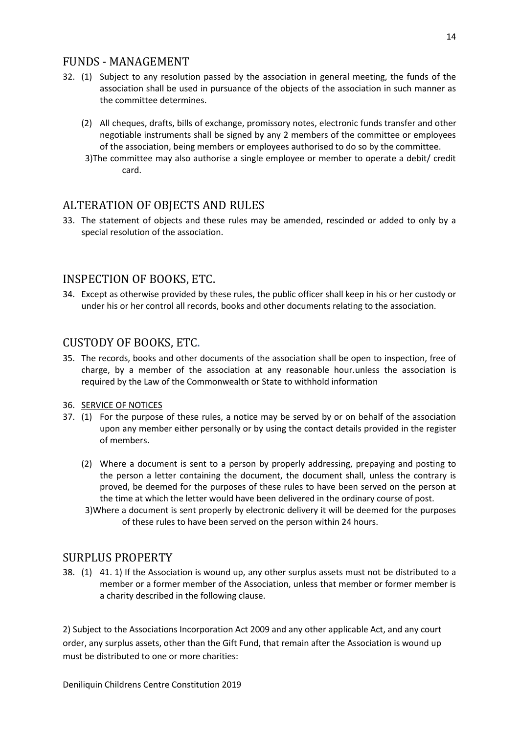#### <span id="page-13-0"></span>FUNDS - MANAGEMENT

- 32. (1) Subject to any resolution passed by the association in general meeting, the funds of the association shall be used in pursuance of the objects of the association in such manner as the committee determines.
	- (2) All cheques, drafts, bills of exchange, promissory notes, electronic funds transfer and other negotiable instruments shall be signed by any 2 members of the committee or employees of the association, being members or employees authorised to do so by the committee.
	- 3)The committee may also authorise a single employee or member to operate a debit/ credit card.

## <span id="page-13-1"></span>ALTERATION OF OBJECTS AND RULES

33. The statement of objects and these rules may be amended, rescinded or added to only by a special resolution of the association.

#### <span id="page-13-2"></span>INSPECTION OF BOOKS, ETC.

34. Except as otherwise provided by these rules, the public officer shall keep in his or her custody or under his or her control all records, books and other documents relating to the association.

## <span id="page-13-3"></span>CUSTODY OF BOOKS, ETC.

35. The records, books and other documents of the association shall be open to inspection, free of charge, by a member of the association at any reasonable hour.unless the association is required by the Law of the Commonwealth or State to withhold information

#### 36. SERVICE OF NOTICES

- 37. (1) For the purpose of these rules, a notice may be served by or on behalf of the association upon any member either personally or by using the contact details provided in the register of members.
	- (2) Where a document is sent to a person by properly addressing, prepaying and posting to the person a letter containing the document, the document shall, unless the contrary is proved, be deemed for the purposes of these rules to have been served on the person at the time at which the letter would have been delivered in the ordinary course of post.
	- 3)Where a document is sent properly by electronic delivery it will be deemed for the purposes of these rules to have been served on the person within 24 hours.

## <span id="page-13-4"></span>SURPLUS PROPERTY

38. (1) 41. 1) If the Association is wound up, any other surplus assets must not be distributed to a member or a former member of the Association, unless that member or former member is a charity described in the following clause.

2) Subject to the Associations Incorporation Act 2009 and any other applicable Act, and any court order, any surplus assets, other than the Gift Fund, that remain after the Association is wound up must be distributed to one or more charities:

Deniliquin Childrens Centre Constitution 2019